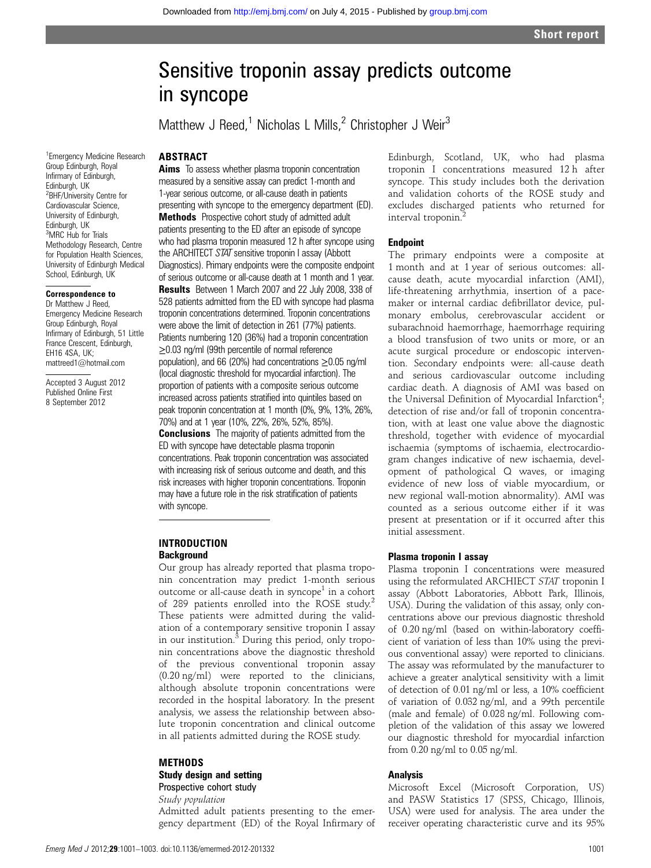# Sensitive troponin assay predicts outcome in syncope

Matthew J Reed,<sup>1</sup> Nicholas L Mills,<sup>2</sup> Christopher J Weir<sup>3</sup>

# **ABSTRACT**

1 Emergency Medicine Research Group Edinburgh, Royal Infirmary of Edinburgh, Edinburgh, UK 2 BHF/University Centre for Cardiovascular Science, University of Edinburgh, Edinburgh, UK 3 MRC Hub for Trials Methodology Research, Centre for Population Health Sciences, University of Edinburgh Medical School, Edinburgh, UK

#### Correspondence to

Dr Matthew J Reed, Emergency Medicine Research Group Edinburgh, Royal Infirmary of Edinburgh, 51 Little France Crescent, Edinburgh, EH16 4SA, UK; mattreed1@hotmail.com

Accepted 3 August 2012 Published Online First 8 September 2012

**Aims** To assess whether plasma troponin concentration measured by a sensitive assay can predict 1-month and 1-year serious outcome, or all-cause death in patients presenting with syncope to the emergency department (ED). Methods Prospective cohort study of admitted adult patients presenting to the ED after an episode of syncope who had plasma troponin measured 12 h after syncope using the ARCHITECT STAT sensitive troponin I assay (Abbott Diagnostics). Primary endpoints were the composite endpoint of serious outcome or all-cause death at 1 month and 1 year.

Results Between 1 March 2007 and 22 July 2008, 338 of 528 patients admitted from the ED with syncope had plasma troponin concentrations determined. Troponin concentrations were above the limit of detection in 261 (77%) patients. Patients numbering 120 (36%) had a troponin concentration ≥0.03 ng/ml (99th percentile of normal reference population), and 66 (20%) had concentrations ≥0.05 ng/ml (local diagnostic threshold for myocardial infarction). The proportion of patients with a composite serious outcome increased across patients stratified into quintiles based on peak troponin concentration at 1 month (0%, 9%, 13%, 26%, 70%) and at 1 year (10%, 22%, 26%, 52%, 85%). **Conclusions** The majority of patients admitted from the ED with syncope have detectable plasma troponin concentrations. Peak troponin concentration was associated with increasing risk of serious outcome and death, and this risk increases with higher troponin concentrations. Troponin may have a future role in the risk stratification of patients with syncope.

# INTRODUCTION **Background**

Our group has already reported that plasma troponin concentration may predict 1-month serious outcome or all-cause death in syncope<sup>1</sup> in a cohort of 289 patients enrolled into the ROSE study.<sup>2</sup> These patients were admitted during the validation of a contemporary sensitive troponin I assay in our institution.<sup>3</sup> During this period, only troponin concentrations above the diagnostic threshold of the previous conventional troponin assay (0.20 ng/ml) were reported to the clinicians, although absolute troponin concentrations were recorded in the hospital laboratory. In the present analysis, we assess the relationship between absolute troponin concentration and clinical outcome in all patients admitted during the ROSE study.

## **METHODS**

Study design and setting Prospective cohort study

Study population

Admitted adult patients presenting to the emergency department (ED) of the Royal Infirmary of Edinburgh, Scotland, UK, who had plasma troponin I concentrations measured 12 h after syncope. This study includes both the derivation and validation cohorts of the ROSE study and excludes discharged patients who returned for interval troponin.<sup>2</sup>

#### **Endpoint**

The primary endpoints were a composite at 1 month and at 1 year of serious outcomes: allcause death, acute myocardial infarction (AMI), life-threatening arrhythmia, insertion of a pacemaker or internal cardiac defibrillator device, pulmonary embolus, cerebrovascular accident or subarachnoid haemorrhage, haemorrhage requiring a blood transfusion of two units or more, or an acute surgical procedure or endoscopic intervention. Secondary endpoints were: all-cause death and serious cardiovascular outcome including cardiac death. A diagnosis of AMI was based on the Universal Definition of Myocardial Infarction<sup>4</sup>; detection of rise and/or fall of troponin concentration, with at least one value above the diagnostic threshold, together with evidence of myocardial ischaemia (symptoms of ischaemia, electrocardiogram changes indicative of new ischaemia, development of pathological Q waves, or imaging evidence of new loss of viable myocardium, or new regional wall-motion abnormality). AMI was counted as a serious outcome either if it was present at presentation or if it occurred after this initial assessment.

#### Plasma troponin I assay

Plasma troponin I concentrations were measured using the reformulated ARCHIECT STAT troponin I assay (Abbott Laboratories, Abbott Park, Illinois, USA). During the validation of this assay, only concentrations above our previous diagnostic threshold of 0.20 ng/ml (based on within-laboratory coefficient of variation of less than 10% using the previous conventional assay) were reported to clinicians. The assay was reformulated by the manufacturer to achieve a greater analytical sensitivity with a limit of detection of 0.01 ng/ml or less, a 10% coefficient of variation of 0.032 ng/ml, and a 99th percentile (male and female) of 0.028 ng/ml. Following completion of the validation of this assay we lowered our diagnostic threshold for myocardial infarction from 0.20 ng/ml to 0.05 ng/ml.

# Analysis

Microsoft Excel (Microsoft Corporation, US) and PASW Statistics 17 (SPSS, Chicago, Illinois, USA) were used for analysis. The area under the receiver operating characteristic curve and its 95%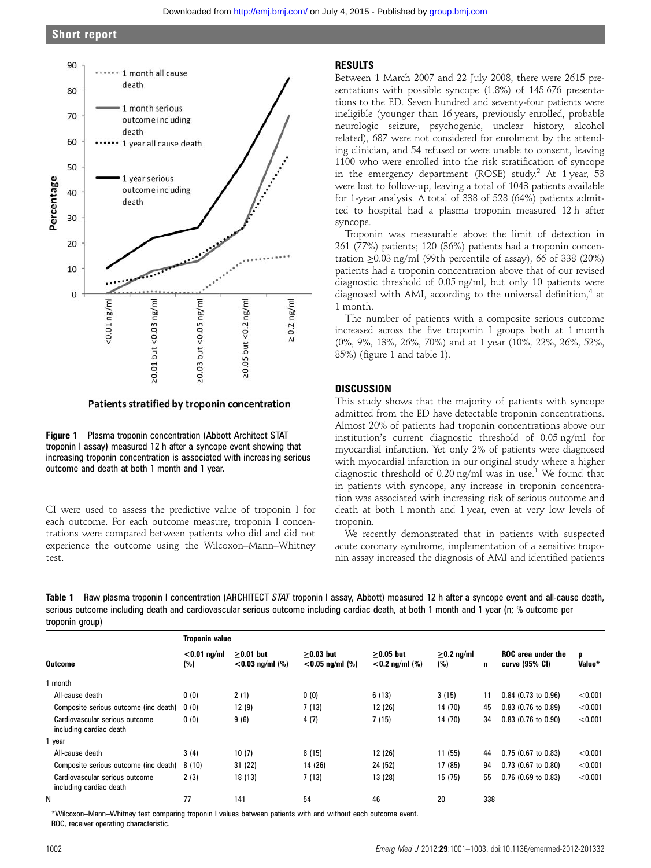# Short report



Patients stratified by troponin concentration

Figure 1 Plasma troponin concentration (Abbott Architect STAT troponin I assay) measured 12 h after a syncope event showing that increasing troponin concentration is associated with increasing serious outcome and death at both 1 month and 1 year.

CI were used to assess the predictive value of troponin I for each outcome. For each outcome measure, troponin I concentrations were compared between patients who did and did not experience the outcome using the Wilcoxon–Mann–Whitney test.

# RESULTS

Between 1 March 2007 and 22 July 2008, there were 2615 presentations with possible syncope (1.8%) of 145 676 presentations to the ED. Seven hundred and seventy-four patients were ineligible (younger than 16 years, previously enrolled, probable neurologic seizure, psychogenic, unclear history, alcohol related), 687 were not considered for enrolment by the attending clinician, and 54 refused or were unable to consent, leaving 1100 who were enrolled into the risk stratification of syncope in the emergency department (ROSE) study.<sup>2</sup> At 1 year,  $53$ were lost to follow-up, leaving a total of 1043 patients available for 1-year analysis. A total of 338 of 528 (64%) patients admitted to hospital had a plasma troponin measured 12 h after syncope.

Troponin was measurable above the limit of detection in 261 (77%) patients; 120 (36%) patients had a troponin concentration  $\geq$ 0.03 ng/ml (99th percentile of assay), 66 of 338 (20%) patients had a troponin concentration above that of our revised diagnostic threshold of 0.05 ng/ml, but only 10 patients were diagnosed with AMI, according to the universal definition,<sup>4</sup> at 1 month.

The number of patients with a composite serious outcome increased across the five troponin I groups both at 1 month (0%, 9%, 13%, 26%, 70%) and at 1 year (10%, 22%, 26%, 52%, 85%) (figure 1 and table 1).

# **DISCUSSION**

This study shows that the majority of patients with syncope admitted from the ED have detectable troponin concentrations. Almost 20% of patients had troponin concentrations above our institution's current diagnostic threshold of 0.05 ng/ml for myocardial infarction. Yet only 2% of patients were diagnosed with myocardial infarction in our original study where a higher diagnostic threshold of  $0.20$  ng/ml was in use.<sup>1</sup> We found that in patients with syncope, any increase in troponin concentration was associated with increasing risk of serious outcome and death at both 1 month and 1 year, even at very low levels of troponin.

We recently demonstrated that in patients with suspected acute coronary syndrome, implementation of a sensitive troponin assay increased the diagnosis of AMI and identified patients

Table 1 Raw plasma troponin I concentration (ARCHITECT STAT troponin I assay, Abbott) measured 12 h after a syncope event and all-cause death, serious outcome including death and cardiovascular serious outcome including cardiac death, at both 1 month and 1 year (n; % outcome per troponin group)

|                                                           | <b>Troponin value</b> |                                   |                                   |                                  |                         |     |                                             |             |
|-----------------------------------------------------------|-----------------------|-----------------------------------|-----------------------------------|----------------------------------|-------------------------|-----|---------------------------------------------|-------------|
| <b>Outcome</b>                                            | $<$ 0.01 ng/ml<br>(%) | $>0.01$ but<br>$< 0.03$ ng/ml (%) | $>0.03$ but<br>$< 0.05$ ng/ml (%) | $>0.05$ but<br>$<$ 0.2 ng/ml (%) | $\geq$ 0.2 ng/ml<br>(%) | n   | <b>ROC</b> area under the<br>curve (95% CI) | p<br>Value* |
| month                                                     |                       |                                   |                                   |                                  |                         |     |                                             |             |
| All-cause death                                           | 0(0)                  | 2(1)                              | 0(0)                              | 6(13)                            | 3(15)                   | 11  | $0.84$ (0.73 to 0.96)                       | < 0.001     |
| Composite serious outcome (inc death)                     | 0(0)                  | 12(9)                             | 7(13)                             | 12 (26)                          | 14 (70)                 | 45  | $0.83$ (0.76 to 0.89)                       | < 0.001     |
| Cardiovascular serious outcome<br>including cardiac death | 0(0)                  | 9(6)                              | 4(7)                              | 7(15)                            | 14 (70)                 | 34  | $0.83$ (0.76 to 0.90)                       | < 0.001     |
| 1 year                                                    |                       |                                   |                                   |                                  |                         |     |                                             |             |
| All-cause death                                           | 3(4)                  | 10(7)                             | 8(15)                             | 12 (26)                          | 11(55)                  | 44  | $0.75$ (0.67 to 0.83)                       | < 0.001     |
| Composite serious outcome (inc death)                     | 8(10)                 | 31(22)                            | 14 (26)                           | 24 (52)                          | 17 (85)                 | 94  | $0.73$ (0.67 to 0.80)                       | < 0.001     |
| Cardiovascular serious outcome<br>including cardiac death | 2(3)                  | 18 (13)                           | 7(13)                             | 13 (28)                          | 15 (75)                 | 55  | $0.76$ (0.69 to 0.83)                       | < 0.001     |
| N                                                         | 77                    | 141                               | 54                                | 46                               | 20                      | 338 |                                             |             |

\*Wilcoxon–Mann–Whitney test comparing troponin I values between patients with and without each outcome event. ROC, receiver operating characteristic.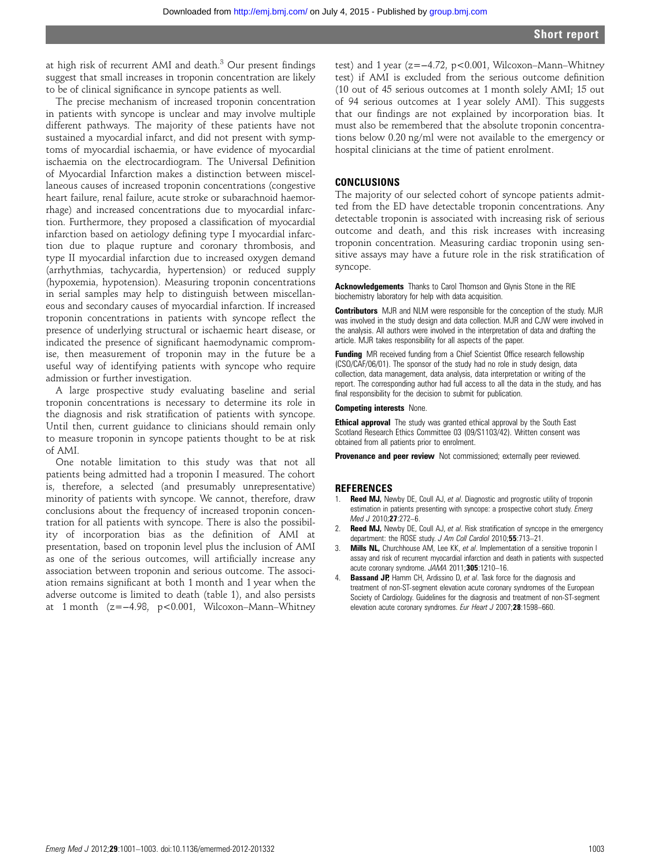at high risk of recurrent AMI and death.<sup>3</sup> Our present findings suggest that small increases in troponin concentration are likely to be of clinical significance in syncope patients as well.

The precise mechanism of increased troponin concentration in patients with syncope is unclear and may involve multiple different pathways. The majority of these patients have not sustained a myocardial infarct, and did not present with symptoms of myocardial ischaemia, or have evidence of myocardial ischaemia on the electrocardiogram. The Universal Definition of Myocardial Infarction makes a distinction between miscellaneous causes of increased troponin concentrations (congestive heart failure, renal failure, acute stroke or subarachnoid haemorrhage) and increased concentrations due to myocardial infarction. Furthermore, they proposed a classification of myocardial infarction based on aetiology defining type I myocardial infarction due to plaque rupture and coronary thrombosis, and type II myocardial infarction due to increased oxygen demand (arrhythmias, tachycardia, hypertension) or reduced supply (hypoxemia, hypotension). Measuring troponin concentrations in serial samples may help to distinguish between miscellaneous and secondary causes of myocardial infarction. If increased troponin concentrations in patients with syncope reflect the presence of underlying structural or ischaemic heart disease, or indicated the presence of significant haemodynamic compromise, then measurement of troponin may in the future be a useful way of identifying patients with syncope who require admission or further investigation.

A large prospective study evaluating baseline and serial troponin concentrations is necessary to determine its role in the diagnosis and risk stratification of patients with syncope. Until then, current guidance to clinicians should remain only to measure troponin in syncope patients thought to be at risk of AMI.

One notable limitation to this study was that not all patients being admitted had a troponin I measured. The cohort is, therefore, a selected (and presumably unrepresentative) minority of patients with syncope. We cannot, therefore, draw conclusions about the frequency of increased troponin concentration for all patients with syncope. There is also the possibility of incorporation bias as the definition of AMI at presentation, based on troponin level plus the inclusion of AMI as one of the serious outcomes, will artificially increase any association between troponin and serious outcome. The association remains significant at both 1 month and 1 year when the adverse outcome is limited to death (table 1), and also persists at 1 month (z=−4.98, p<0.001, Wilcoxon–Mann–Whitney

test) and 1 year (z=−4.72, p<0.001, Wilcoxon–Mann–Whitney test) if AMI is excluded from the serious outcome definition (10 out of 45 serious outcomes at 1 month solely AMI; 15 out of 94 serious outcomes at 1 year solely AMI). This suggests that our findings are not explained by incorporation bias. It must also be remembered that the absolute troponin concentrations below 0.20 ng/ml were not available to the emergency or hospital clinicians at the time of patient enrolment.

# CONCLUSIONS

The majority of our selected cohort of syncope patients admitted from the ED have detectable troponin concentrations. Any detectable troponin is associated with increasing risk of serious outcome and death, and this risk increases with increasing troponin concentration. Measuring cardiac troponin using sensitive assays may have a future role in the risk stratification of syncope.

Acknowledgements Thanks to Carol Thomson and Glynis Stone in the RIE biochemistry laboratory for help with data acquisition.

Contributors MJR and NLM were responsible for the conception of the study. MJR was involved in the study design and data collection. MJR and CJW were involved in the analysis. All authors were involved in the interpretation of data and drafting the article. MJR takes responsibility for all aspects of the paper.

Funding MR received funding from a Chief Scientist Office research fellowship (CSO/CAF/06/01). The sponsor of the study had no role in study design, data collection, data management, data analysis, data interpretation or writing of the report. The corresponding author had full access to all the data in the study, and has final responsibility for the decision to submit for publication.

#### Competing interests None.

**Ethical approval** The study was granted ethical approval by the South East Scotland Research Ethics Committee 03 (09/S1103/42). Written consent was obtained from all patients prior to enrolment.

Provenance and peer review Not commissioned; externally peer reviewed.

#### **REFERENCES**

- 1. Reed MJ, Newby DE, Coull AJ, et al. Diagnostic and prognostic utility of troponin estimation in patients presenting with syncope: a prospective cohort study. Emerg Med J 2010:27:272-6.
- 2. Reed MJ, Newby DE, Coull AJ, et al. Risk stratification of syncope in the emergency department: the ROSE study. J Am Coll Cardiol 2010;55:713-21.
- **Mills NL,** Churchhouse AM, Lee KK, et al. Implementation of a sensitive troponin I assay and risk of recurrent myocardial infarction and death in patients with suspected acute coronary syndrome. JAMA 2011;305:1210–16.
- 4. **Bassand JP, Hamm CH, Ardissino D, et al. Task force for the diagnosis and** treatment of non-ST-segment elevation acute coronary syndromes of the European Society of Cardiology. Guidelines for the diagnosis and treatment of non-ST-segment elevation acute coronary syndromes. Eur Heart J 2007;28:1598–660.